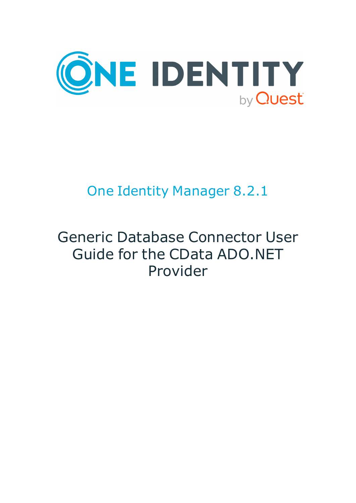

# One Identity Manager 8.2.1

# Generic Database Connector User Guide for the CData ADO.NET Provider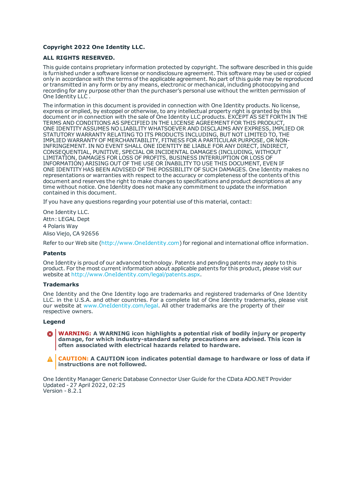#### **Copyright 2022 One Identity LLC.**

#### **ALL RIGHTS RESERVED.**

This guide contains proprietary information protected by copyright. The software described in this guide is furnished under a software license or nondisclosure agreement. This software may be used or copied only in accordance with the terms of the applicable agreement. No part of this guide may be reproduced or transmitted in any form or by any means, electronic or mechanical, including photocopying and recording for any purpose other than the purchaser's personal use without the written permission of One Identity LLC .

The information in this document is provided in connection with One Identity products. No license, express or implied, by estoppel or otherwise, to any intellectual property right is granted by this document or in connection with the sale of One Identity LLC products. EXCEPT AS SET FORTH IN THE TERMS AND CONDITIONS AS SPECIFIED IN THE LICENSE AGREEMENT FOR THIS PRODUCT, ONE IDENTITY ASSUMES NO LIABILITY WHATSOEVER AND DISCLAIMS ANY EXPRESS, IMPLIED OR STATUTORY WARRANTY RELATING TO ITS PRODUCTS INCLUDING, BUT NOT LIMITED TO, THE IMPLIED WARRANTY OF MERCHANTABILITY, FITNESS FOR A PARTICULAR PURPOSE, OR NON-INFRINGEMENT. IN NO EVENT SHALL ONE IDENTITY BE LIABLE FOR ANY DIRECT, INDIRECT, CONSEQUENTIAL, PUNITIVE, SPECIAL OR INCIDENTAL DAMAGES (INCLUDING, WITHOUT LIMITATION, DAMAGES FOR LOSS OF PROFITS, BUSINESS INTERRUPTION OR LOSS OF INFORMATION) ARISING OUT OF THE USE OR INABILITY TO USE THIS DOCUMENT, EVEN IF ONE IDENTITY HAS BEEN ADVISED OF THE POSSIBILITY OF SUCH DAMAGES. One Identity makes no representations or warranties with respect to the accuracy or completeness of the contents of this document and reserves the right to make changes to specifications and product descriptions at any time without notice. One Identity does not make any commitment to update the information contained in this document.

If you have any questions regarding your potential use of this material, contact:

One Identity LLC. Attn: LEGAL Dept 4 Polaris Way Aliso Viejo, CA 92656

Refer to our Web site ([http://www.OneIdentity.com](http://www.oneidentity.com/)) for regional and international office information.

#### **Patents**

One Identity is proud of our advanced technology. Patents and pending patents may apply to this product. For the most current information about applicable patents for this product, please visit our website at [http://www.OneIdentity.com/legal/patents.aspx](http://www.oneidentity.com/legal/patents.aspx).

#### **Trademarks**

One Identity and the One Identity logo are trademarks and registered trademarks of One Identity LLC. in the U.S.A. and other countries. For a complete list of One Identity trademarks, please visit our website at [www.OneIdentity.com/legal](http://www.oneidentity.com/legal). All other trademarks are the property of their respective owners.

#### **Legend**

**WARNING: A WARNING icon highlights a potential risk of bodily injury or property damage, for which industry-standard safety precautions are advised. This icon is often associated with electrical hazards related to hardware.**

**CAUTION: A CAUTION icon indicates potential damage to hardware or loss of data if** A **instructions are not followed.**

One Identity Manager Generic Database Connector User Guide for the CData ADO.NET Provider Updated - 27 April 2022, 02:25 Version - 8.2.1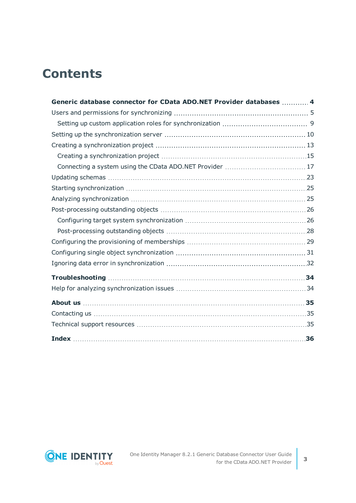## **Contents**

| Generic database connector for CData ADO.NET Provider databases  4 |  |
|--------------------------------------------------------------------|--|
|                                                                    |  |
|                                                                    |  |
|                                                                    |  |
|                                                                    |  |
|                                                                    |  |
|                                                                    |  |
|                                                                    |  |
|                                                                    |  |
|                                                                    |  |
|                                                                    |  |
|                                                                    |  |
|                                                                    |  |
|                                                                    |  |
|                                                                    |  |
|                                                                    |  |
|                                                                    |  |
|                                                                    |  |
|                                                                    |  |
|                                                                    |  |
|                                                                    |  |
|                                                                    |  |

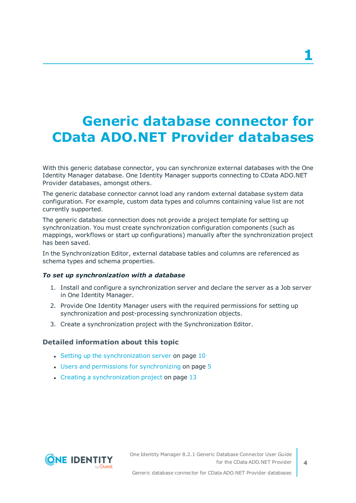# <span id="page-3-0"></span>**Generic database connector for CData ADO.NET Provider databases**

With this generic database connector, you can synchronize external databases with the One Identity Manager database. One Identity Manager supports connecting to CData ADO.NET Provider databases, amongst others.

The generic database connector cannot load any random external database system data configuration. For example, custom data types and columns containing value list are not currently supported.

The generic database connection does not provide a project template for setting up synchronization. You must create synchronization configuration components (such as mappings, workflows or start up configurations) manually after the synchronization project has been saved.

In the Synchronization Editor, external database tables and columns are referenced as schema types and schema properties.

#### *To set up synchronization with a database*

- 1. Install and configure a synchronization server and declare the server as a Job server in One Identity Manager.
- 2. Provide One Identity Manager users with the required permissions for setting up synchronization and post-processing synchronization objects.
- 3. Create a synchronization project with the Synchronization Editor.

#### **Detailed information about this topic**

- Setting up the [synchronization](#page-9-0) server on page 10
- $\cdot$  Users and permissions for [synchronizing](#page-4-0) on page  $5$
- $\cdot$  Creating a [synchronization](#page-12-0) project on page 13

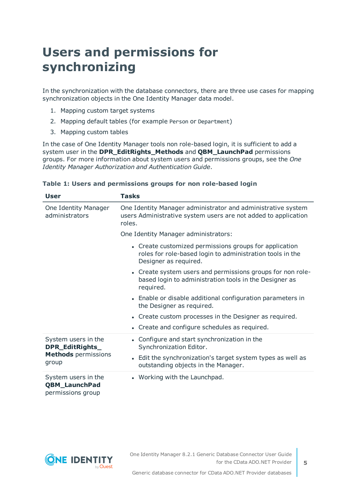## <span id="page-4-0"></span>**Users and permissions for synchronizing**

In the synchronization with the database connectors, there are three use cases for mapping synchronization objects in the One Identity Manager data model.

- 1. Mapping custom target systems
- 2. Mapping default tables (for example Person or Department)
- 3. Mapping custom tables

In the case of One Identity Manager tools non role-based login, it is sufficient to add a system user in the **DPR\_EditRights\_Methods** and **QBM\_LaunchPad** permissions groups. For more information about system users and permissions groups, see the *One Identity Manager Authorization and Authentication Guide*.

| User                                                             | Tasks                                                                                                                                        |  |  |  |
|------------------------------------------------------------------|----------------------------------------------------------------------------------------------------------------------------------------------|--|--|--|
| One Identity Manager<br>administrators                           | One Identity Manager administrator and administrative system<br>users Administrative system users are not added to application<br>roles.     |  |  |  |
|                                                                  | One Identity Manager administrators:                                                                                                         |  |  |  |
|                                                                  | • Create customized permissions groups for application<br>roles for role-based login to administration tools in the<br>Designer as required. |  |  |  |
|                                                                  | • Create system users and permissions groups for non role-<br>based login to administration tools in the Designer as<br>required.            |  |  |  |
|                                                                  | • Enable or disable additional configuration parameters in<br>the Designer as required.                                                      |  |  |  |
|                                                                  | • Create custom processes in the Designer as required.                                                                                       |  |  |  |
|                                                                  | • Create and configure schedules as required.                                                                                                |  |  |  |
| System users in the<br>DPR_EditRights_                           | • Configure and start synchronization in the<br>Synchronization Editor.                                                                      |  |  |  |
| <b>Methods</b> permissions<br>group                              | • Edit the synchronization's target system types as well as<br>outstanding objects in the Manager.                                           |  |  |  |
| System users in the<br><b>QBM_LaunchPad</b><br>permissions group | • Working with the Launchpad.                                                                                                                |  |  |  |

#### **Table 1: Users and permissions groups for non role-based login**

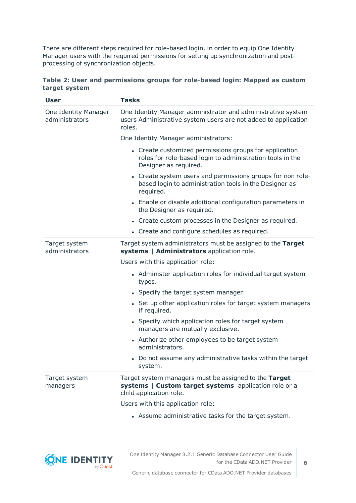There are different steps required for role-based login, in order to equip One Identity Manager users with the required permissions for setting up synchronization and postprocessing of synchronization objects.

|               | Table 2: User and permissions groups for role-based login: Mapped as custom |  |  |  |
|---------------|-----------------------------------------------------------------------------|--|--|--|
| target system |                                                                             |  |  |  |

| <b>User</b>                            | <b>Tasks</b>                                                                                                                                 |  |  |  |
|----------------------------------------|----------------------------------------------------------------------------------------------------------------------------------------------|--|--|--|
| One Identity Manager<br>administrators | One Identity Manager administrator and administrative system<br>users Administrative system users are not added to application<br>roles.     |  |  |  |
|                                        | One Identity Manager administrators:                                                                                                         |  |  |  |
|                                        | • Create customized permissions groups for application<br>roles for role-based login to administration tools in the<br>Designer as required. |  |  |  |
|                                        | • Create system users and permissions groups for non role-<br>based login to administration tools in the Designer as<br>required.            |  |  |  |
|                                        | • Enable or disable additional configuration parameters in<br>the Designer as required.                                                      |  |  |  |
|                                        | • Create custom processes in the Designer as required.                                                                                       |  |  |  |
|                                        | • Create and configure schedules as required.                                                                                                |  |  |  |
| Target system<br>administrators        | Target system administrators must be assigned to the Target<br>systems   Administrators application role.                                    |  |  |  |
|                                        | Users with this application role:                                                                                                            |  |  |  |
|                                        | • Administer application roles for individual target system<br>types.                                                                        |  |  |  |
|                                        | • Specify the target system manager.                                                                                                         |  |  |  |
|                                        | • Set up other application roles for target system managers<br>if required.                                                                  |  |  |  |
|                                        | • Specify which application roles for target system<br>managers are mutually exclusive.                                                      |  |  |  |
|                                        | • Authorize other employees to be target system<br>administrators.                                                                           |  |  |  |
|                                        | • Do not assume any administrative tasks within the target<br>system.                                                                        |  |  |  |
| Target system<br>managers              | Target system managers must be assigned to the Target<br>systems   Custom target systems application role or a<br>child application role.    |  |  |  |
|                                        | Users with this application role:                                                                                                            |  |  |  |
|                                        | • Assume administrative tasks for the target system.                                                                                         |  |  |  |



One Identity Manager 8.2.1 Generic Database Connector User Guide for the CData ADO.NET Provider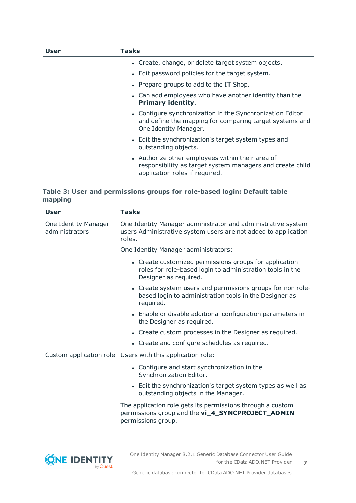| User | Tasks                                                                                                                                           |
|------|-------------------------------------------------------------------------------------------------------------------------------------------------|
|      | • Create, change, or delete target system objects.                                                                                              |
|      | • Edit password policies for the target system.                                                                                                 |
|      | • Prepare groups to add to the IT Shop.                                                                                                         |
|      | • Can add employees who have another identity than the<br><b>Primary identity.</b>                                                              |
|      | • Configure synchronization in the Synchronization Editor<br>and define the mapping for comparing target systems and<br>One Identity Manager.   |
|      | • Edit the synchronization's target system types and<br>outstanding objects.                                                                    |
|      | • Authorize other employees within their area of<br>responsibility as target system managers and create child<br>application roles if required. |

#### **Table 3: User and permissions groups for role-based login: Default table mapping**

| User                                   | <b>Tasks</b>                                                                                                                                 |
|----------------------------------------|----------------------------------------------------------------------------------------------------------------------------------------------|
| One Identity Manager<br>administrators | One Identity Manager administrator and administrative system<br>users Administrative system users are not added to application<br>roles.     |
|                                        | One Identity Manager administrators:                                                                                                         |
|                                        | • Create customized permissions groups for application<br>roles for role-based login to administration tools in the<br>Designer as required. |
|                                        | • Create system users and permissions groups for non role-<br>based login to administration tools in the Designer as<br>required.            |
|                                        | • Enable or disable additional configuration parameters in<br>the Designer as required.                                                      |
|                                        | • Create custom processes in the Designer as required.                                                                                       |
|                                        | • Create and configure schedules as required.                                                                                                |
|                                        | Custom application role Users with this application role:                                                                                    |
|                                        | • Configure and start synchronization in the<br>Synchronization Editor.                                                                      |
|                                        | • Edit the synchronization's target system types as well as<br>outstanding objects in the Manager.                                           |
|                                        | The application role gets its permissions through a custom<br>permissions group and the vi_4_SYNCPROJECT_ADMIN<br>permissions group.         |
|                                        |                                                                                                                                              |
|                                        |                                                                                                                                              |

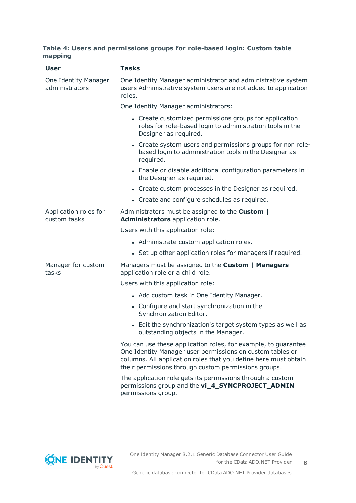#### **Table 4: Users and permissions groups for role-based login: Custom table mapping**

| <b>User</b>                            | <b>Tasks</b>                                                                                                                                                                                                                                           |  |  |
|----------------------------------------|--------------------------------------------------------------------------------------------------------------------------------------------------------------------------------------------------------------------------------------------------------|--|--|
| One Identity Manager<br>administrators | One Identity Manager administrator and administrative system<br>users Administrative system users are not added to application<br>roles.                                                                                                               |  |  |
|                                        | One Identity Manager administrators:                                                                                                                                                                                                                   |  |  |
|                                        | • Create customized permissions groups for application<br>roles for role-based login to administration tools in the<br>Designer as required.                                                                                                           |  |  |
|                                        | • Create system users and permissions groups for non role-<br>based login to administration tools in the Designer as<br>required.                                                                                                                      |  |  |
|                                        | • Enable or disable additional configuration parameters in<br>the Designer as required.                                                                                                                                                                |  |  |
|                                        | • Create custom processes in the Designer as required.                                                                                                                                                                                                 |  |  |
|                                        | • Create and configure schedules as required.                                                                                                                                                                                                          |  |  |
| Application roles for<br>custom tasks  | Administrators must be assigned to the Custom  <br>Administrators application role.                                                                                                                                                                    |  |  |
|                                        | Users with this application role:                                                                                                                                                                                                                      |  |  |
|                                        | • Administrate custom application roles.                                                                                                                                                                                                               |  |  |
|                                        | • Set up other application roles for managers if required.                                                                                                                                                                                             |  |  |
| Manager for custom<br>tasks            | Managers must be assigned to the Custom   Managers<br>application role or a child role.                                                                                                                                                                |  |  |
|                                        | Users with this application role:                                                                                                                                                                                                                      |  |  |
|                                        | • Add custom task in One Identity Manager.                                                                                                                                                                                                             |  |  |
|                                        | • Configure and start synchronization in the<br>Synchronization Editor.                                                                                                                                                                                |  |  |
|                                        | • Edit the synchronization's target system types as well as<br>outstanding objects in the Manager.                                                                                                                                                     |  |  |
|                                        | You can use these application roles, for example, to guarantee<br>One Identity Manager user permissions on custom tables or<br>columns. All application roles that you define here must obtain<br>their permissions through custom permissions groups. |  |  |
|                                        | The application role gets its permissions through a custom<br>permissions group and the vi_4_SYNCPROJECT_ADMIN<br>permissions group.                                                                                                                   |  |  |

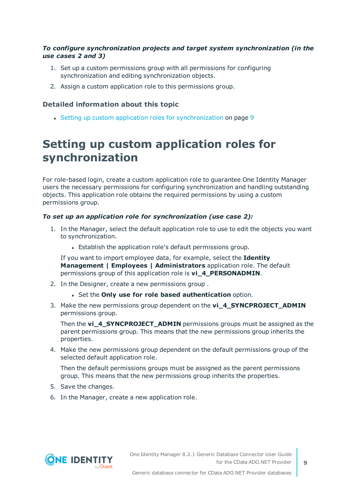#### *To configure synchronization projects and target system synchronization (in the use cases 2 and 3)*

- 1. Set up a custom permissions group with all permissions for configuring synchronization and editing synchronization objects.
- 2. Assign a custom application role to this permissions group.

#### **Detailed information about this topic**

• Setting up custom application roles for [synchronization](#page-8-0) on page 9

### <span id="page-8-0"></span>**Setting up custom application roles for synchronization**

For role-based login, create a custom application role to guarantee One Identity Manager users the necessary permissions for configuring synchronization and handling outstanding objects. This application role obtains the required permissions by using a custom permissions group.

#### *To set up an application role for synchronization (use case 2):*

- 1. In the Manager, select the default application role to use to edit the objects you want to synchronization.
	- Establish the application role's default permissions group.

If you want to import employee data, for example, select the **Identity Management | Employees | Administrators** application role. The default permissions group of this application role is **vi\_4\_PERSONADMIN**.

- 2. In the Designer, create a new permissions group .
	- <sup>l</sup> Set the **Only use for role based authentication** option.
- 3. Make the new permissions group dependent on the **vi\_4\_SYNCPROJECT\_ADMIN** permissions group.

Then the **vi\_4\_SYNCPROJECT\_ADMIN** permissions groups must be assigned as the parent permissions group. This means that the new permissions group inherits the properties.

4. Make the new permissions group dependent on the default permissions group of the selected default application role.

Then the default permissions groups must be assigned as the parent permissions group. This means that the new permissions group inherits the properties.

- 5. Save the changes.
- 6. In the Manager, create a new application role.

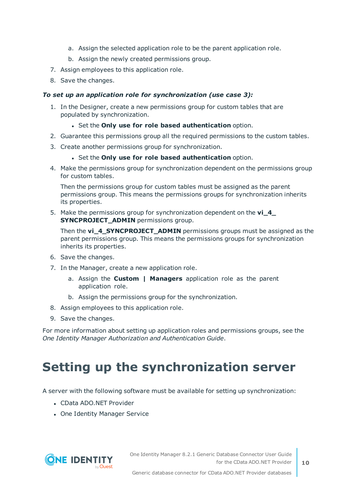- a. Assign the selected application role to be the parent application role.
- b. Assign the newly created permissions group.
- 7. Assign employees to this application role.
- 8. Save the changes.

#### *To set up an application role for synchronization (use case 3):*

- 1. In the Designer, create a new permissions group for custom tables that are populated by synchronization.
	- <sup>l</sup> Set the **Only use for role based authentication** option.
- 2. Guarantee this permissions group all the required permissions to the custom tables.
- 3. Create another permissions group for synchronization.
	- <sup>l</sup> Set the **Only use for role based authentication** option.
- 4. Make the permissions group for synchronization dependent on the permissions group for custom tables.

Then the permissions group for custom tables must be assigned as the parent permissions group. This means the permissions groups for synchronization inherits its properties.

5. Make the permissions group for synchronization dependent on the **vi\_4\_ SYNCPROJECT ADMIN** permissions group.

Then the **vi\_4\_SYNCPROJECT\_ADMIN** permissions groups must be assigned as the parent permissions group. This means the permissions groups for synchronization inherits its properties.

- 6. Save the changes.
- 7. In the Manager, create a new application role.
	- a. Assign the **Custom | Managers** application role as the parent application role.
	- b. Assign the permissions group for the synchronization.
- 8. Assign employees to this application role.
- 9. Save the changes.

For more information about setting up application roles and permissions groups, see the *One Identity Manager Authorization and Authentication Guide*.

## <span id="page-9-0"></span>**Setting up the synchronization server**

A server with the following software must be available for setting up synchronization:

- <sup>l</sup> CData ADO.NET Provider
- One Identity Manager Service

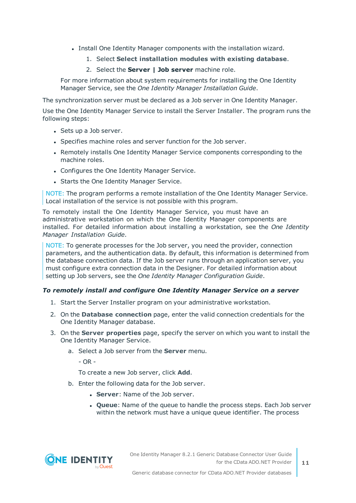- Install One Identity Manager components with the installation wizard.
	- 1. Select **Select installation modules with existing database**.
	- 2. Select the **Server | Job server** machine role.

For more information about system requirements for installing the One Identity Manager Service, see the *One Identity Manager Installation Guide*.

The synchronization server must be declared as a Job server in One Identity Manager.

Use the One Identity Manager Service to install the Server Installer. The program runs the following steps:

- Sets up a Job server.
- Specifies machine roles and server function for the Job server.
- Remotely installs One Identity Manager Service components corresponding to the machine roles.
- Configures the One Identity Manager Service.
- Starts the One Identity Manager Service.

NOTE: The program performs a remote installation of the One Identity Manager Service. Local installation of the service is not possible with this program.

To remotely install the One Identity Manager Service, you must have an administrative workstation on which the One Identity Manager components are installed. For detailed information about installing a workstation, see the *One Identity Manager Installation Guide*.

NOTE: To generate processes for the Job server, you need the provider, connection parameters, and the authentication data. By default, this information is determined from the database connection data. If the Job server runs through an application server, you must configure extra connection data in the Designer. For detailed information about setting up Job servers, see the *One Identity Manager Configuration Guide*.

#### *To remotely install and configure One Identity Manager Service on a server*

- 1. Start the Server Installer program on your administrative workstation.
- 2. On the **Database connection** page, enter the valid connection credentials for the One Identity Manager database.
- 3. On the **Server properties** page, specify the server on which you want to install the One Identity Manager Service.
	- a. Select a Job server from the **Server** menu.

- OR -

To create a new Job server, click **Add**.

- b. Enter the following data for the Job server.
	- **Server:** Name of the Job server.
	- <sup>l</sup> **Queue**: Name of the queue to handle the process steps. Each Job server within the network must have a unique queue identifier. The process

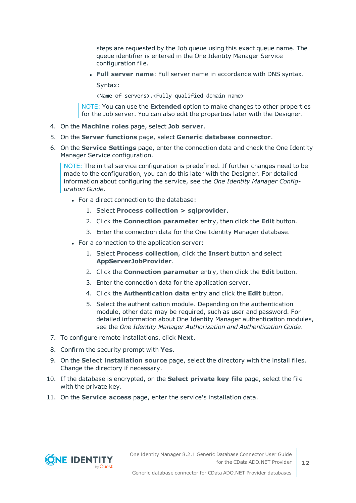steps are requested by the Job queue using this exact queue name. The queue identifier is entered in the One Identity Manager Service configuration file.

<sup>l</sup> **Full server name**: Full server name in accordance with DNS syntax.

Syntax:

<Name of servers>.<Fully qualified domain name>

NOTE: You can use the **Extended** option to make changes to other properties for the Job server. You can also edit the properties later with the Designer.

- 4. On the **Machine roles** page, select **Job server**.
- 5. On the **Server functions** page, select **Generic database connector**.
- 6. On the **Service Settings** page, enter the connection data and check the One Identity Manager Service configuration.

NOTE: The initial service configuration is predefined. If further changes need to be made to the configuration, you can do this later with the Designer. For detailed information about configuring the service, see the *One Identity Manager Configuration Guide*.

- For a direct connection to the database:
	- 1. Select **Process collection > sqlprovider**.
	- 2. Click the **Connection parameter** entry, then click the **Edit** button.
	- 3. Enter the connection data for the One Identity Manager database.
- For a connection to the application server:
	- 1. Select **Process collection**, click the **Insert** button and select **AppServerJobProvider**.
	- 2. Click the **Connection parameter** entry, then click the **Edit** button.
	- 3. Enter the connection data for the application server.
	- 4. Click the **Authentication data** entry and click the **Edit** button.
	- 5. Select the authentication module. Depending on the authentication module, other data may be required, such as user and password. For detailed information about One Identity Manager authentication modules, see the *One Identity Manager Authorization and Authentication Guide*.
- 7. To configure remote installations, click **Next**.
- 8. Confirm the security prompt with **Yes**.
- 9. On the **Select installation source** page, select the directory with the install files. Change the directory if necessary.
- 10. If the database is encrypted, on the **Select private key file** page, select the file with the private key.
- 11. On the **Service access** page, enter the service's installation data.

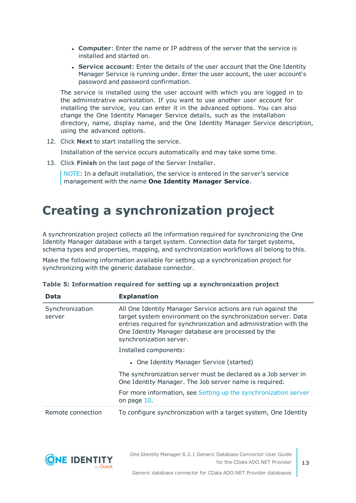- **Computer**: Enter the name or IP address of the server that the service is installed and started on.
- **. Service account:** Enter the details of the user account that the One Identity Manager Service is running under. Enter the user account, the user account's password and password confirmation.

The service is installed using the user account with which you are logged in to the administrative workstation. If you want to use another user account for installing the service, you can enter it in the advanced options. You can also change the One Identity Manager Service details, such as the installation directory, name, display name, and the One Identity Manager Service description, using the advanced options.

12. Click **Next** to start installing the service.

Installation of the service occurs automatically and may take some time.

13. Click **Finish** on the last page of the Server Installer.

NOTE: In a default installation, the service is entered in the server's service management with the name **One Identity Manager Service**.

## <span id="page-12-0"></span>**Creating a synchronization project**

A synchronization project collects all the information required for synchronizing the One Identity Manager database with a target system. Connection data for target systems, schema types and properties, mapping, and synchronization workflows all belong to this.

Make the following information available for setting up a synchronization project for synchronizing with the generic database connector.

| Data                      | <b>Explanation</b>                                                                                                                                                                                                                                                                 |
|---------------------------|------------------------------------------------------------------------------------------------------------------------------------------------------------------------------------------------------------------------------------------------------------------------------------|
| Synchronization<br>server | All One Identity Manager Service actions are run against the<br>target system environment on the synchronization server. Data<br>entries required for synchronization and administration with the<br>One Identity Manager database are processed by the<br>synchronization server. |
|                           | Installed components:                                                                                                                                                                                                                                                              |
|                           | • One Identity Manager Service (started)                                                                                                                                                                                                                                           |
|                           | The synchronization server must be declared as a Job server in<br>One Identity Manager. The Job server name is required.                                                                                                                                                           |
|                           | For more information, see Setting up the synchronization server<br>on page 10.                                                                                                                                                                                                     |
| Remote connection         | To configure synchronization with a target system, One Identity                                                                                                                                                                                                                    |

|  | Table 5: Information required for setting up a synchronization project |  |  |  |  |  |
|--|------------------------------------------------------------------------|--|--|--|--|--|
|  |                                                                        |  |  |  |  |  |

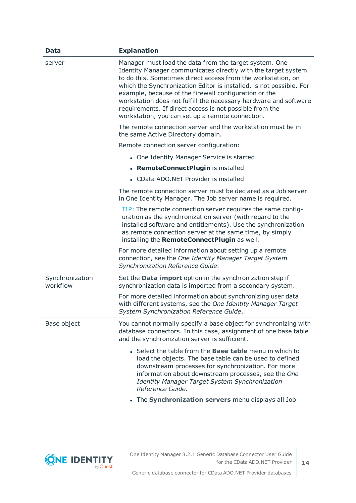| <b>Data</b>                 | <b>Explanation</b>                                                                                                                                                                                                                                                                                                                                                                                                                                                                                         |
|-----------------------------|------------------------------------------------------------------------------------------------------------------------------------------------------------------------------------------------------------------------------------------------------------------------------------------------------------------------------------------------------------------------------------------------------------------------------------------------------------------------------------------------------------|
| server                      | Manager must load the data from the target system. One<br>Identity Manager communicates directly with the target system<br>to do this. Sometimes direct access from the workstation, on<br>which the Synchronization Editor is installed, is not possible. For<br>example, because of the firewall configuration or the<br>workstation does not fulfill the necessary hardware and software<br>requirements. If direct access is not possible from the<br>workstation, you can set up a remote connection. |
|                             | The remote connection server and the workstation must be in<br>the same Active Directory domain.                                                                                                                                                                                                                                                                                                                                                                                                           |
|                             | Remote connection server configuration:                                                                                                                                                                                                                                                                                                                                                                                                                                                                    |
|                             | • One Identity Manager Service is started                                                                                                                                                                                                                                                                                                                                                                                                                                                                  |
|                             | • RemoteConnectPlugin is installed                                                                                                                                                                                                                                                                                                                                                                                                                                                                         |
|                             | • CData ADO.NET Provider is installed                                                                                                                                                                                                                                                                                                                                                                                                                                                                      |
|                             | The remote connection server must be declared as a Job server<br>in One Identity Manager. The Job server name is required.                                                                                                                                                                                                                                                                                                                                                                                 |
|                             | TIP: The remote connection server requires the same config-<br>uration as the synchronization server (with regard to the<br>installed software and entitlements). Use the synchronization<br>as remote connection server at the same time, by simply<br>installing the RemoteConnectPlugin as well.                                                                                                                                                                                                        |
|                             | For more detailed information about setting up a remote<br>connection, see the One Identity Manager Target System<br>Synchronization Reference Guide.                                                                                                                                                                                                                                                                                                                                                      |
| Synchronization<br>workflow | Set the <b>Data import</b> option in the synchronization step if<br>synchronization data is imported from a secondary system.                                                                                                                                                                                                                                                                                                                                                                              |
|                             | For more detailed information about synchronizing user data<br>with different systems, see the One Identity Manager Target<br>System Synchronization Reference Guide.                                                                                                                                                                                                                                                                                                                                      |
| Base object                 | You cannot normally specify a base object for synchronizing with<br>database connectors. In this case, assignment of one base table<br>and the synchronization server is sufficient.                                                                                                                                                                                                                                                                                                                       |
|                             | • Select the table from the <b>Base table</b> menu in which to<br>load the objects. The base table can be used to defined<br>downstream processes for synchronization. For more<br>information about downstream processes, see the One<br>Identity Manager Target System Synchronization<br>Reference Guide.                                                                                                                                                                                               |
|                             | • The Synchronization servers menu displays all Job                                                                                                                                                                                                                                                                                                                                                                                                                                                        |

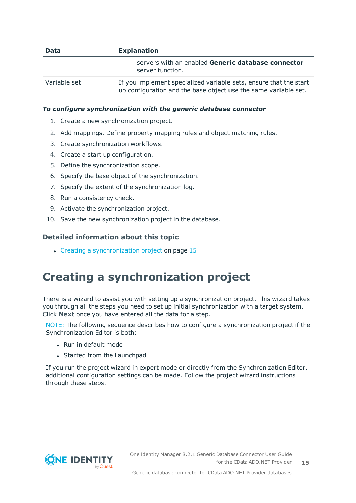| <b>Data</b>  | <b>Explanation</b>                                                                                                                   |
|--------------|--------------------------------------------------------------------------------------------------------------------------------------|
|              | servers with an enabled Generic database connector<br>server function.                                                               |
| Variable set | If you implement specialized variable sets, ensure that the start<br>up configuration and the base object use the same variable set. |

#### *To configure synchronization with the generic database connector*

- 1. Create a new synchronization project.
- 2. Add mappings. Define property mapping rules and object matching rules.
- 3. Create synchronization workflows.
- 4. Create a start up configuration.
- 5. Define the synchronization scope.
- 6. Specify the base object of the synchronization.
- 7. Specify the extent of the synchronization log.
- 8. Run a consistency check.
- 9. Activate the synchronization project.
- 10. Save the new synchronization project in the database.

#### **Detailed information about this topic**

 $\cdot$  Creating a [synchronization](#page-14-0) project on page 15

### <span id="page-14-0"></span>**Creating a synchronization project**

There is a wizard to assist you with setting up a synchronization project. This wizard takes you through all the steps you need to set up initial synchronization with a target system. Click **Next** once you have entered all the data for a step.

NOTE: The following sequence describes how to configure a synchronization project if the Synchronization Editor is both:

- . Run in default mode
- Started from the Launchpad

If you run the project wizard in expert mode or directly from the Synchronization Editor, additional configuration settings can be made. Follow the project wizard instructions through these steps.

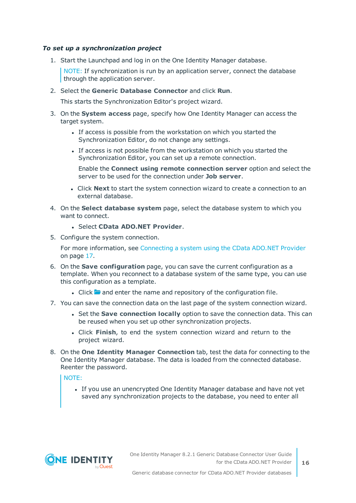#### *To set up a synchronization project*

1. Start the Launchpad and log in on the One Identity Manager database.

NOTE: If synchronization is run by an application server, connect the database through the application server.

2. Select the **Generic Database Connector** and click **Run**.

This starts the Synchronization Editor's project wizard.

- 3. On the **System access** page, specify how One Identity Manager can access the target system.
	- If access is possible from the workstation on which you started the Synchronization Editor, do not change any settings.
	- If access is not possible from the workstation on which you started the Synchronization Editor, you can set up a remote connection.

Enable the **Connect using remote connection server** option and select the server to be used for the connection under **Job server**.

- <sup>l</sup> Click **Next** to start the system connection wizard to create a connection to an external database.
- 4. On the **Select database system** page, select the database system to which you want to connect.
	- <sup>l</sup> Select **CData ADO.NET Provider**.
- 5. Configure the system connection.

For more [information,](#page-16-0) see Connecting a system using the CData ADO.NET Provider on [page](#page-16-0) 17.

- 6. On the **Save configuration** page, you can save the current configuration as a template. When you reconnect to a database system of the same type, you can use this configuration as a template.
	- I Click **a** and enter the name and repository of the configuration file.
- 7. You can save the connection data on the last page of the system connection wizard.
	- <sup>l</sup> Set the **Save connection locally** option to save the connection data. This can be reused when you set up other synchronization projects.
	- <sup>l</sup> Click **Finish**, to end the system connection wizard and return to the project wizard.
- 8. On the **One Identity Manager Connection** tab, test the data for connecting to the One Identity Manager database. The data is loaded from the connected database. Reenter the password.

#### NOTE:

• If you use an unencrypted One Identity Manager database and have not yet saved any synchronization projects to the database, you need to enter all

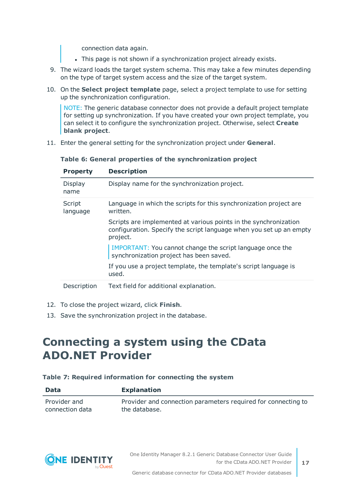connection data again.

- . This page is not shown if a synchronization project already exists.
- 9. The wizard loads the target system schema. This may take a few minutes depending on the type of target system access and the size of the target system.
- 10. On the **Select project template** page, select a project template to use for setting up the synchronization configuration.

NOTE: The generic database connector does not provide a default project template for setting up synchronization. If you have created your own project template, you can select it to configure the synchronization project. Otherwise, select **Create blank project**.

11. Enter the general setting for the synchronization project under **General**.

| <b>Property</b>    | <b>Description</b>                                                                                                                                  |
|--------------------|-----------------------------------------------------------------------------------------------------------------------------------------------------|
| Display<br>name    | Display name for the synchronization project.                                                                                                       |
| Script<br>language | Language in which the scripts for this synchronization project are<br>written.                                                                      |
|                    | Scripts are implemented at various points in the synchronization<br>configuration. Specify the script language when you set up an empty<br>project. |
|                    | IMPORTANT: You cannot change the script language once the<br>synchronization project has been saved.                                                |
|                    | If you use a project template, the template's script language is<br>used.                                                                           |
| Description        | Text field for additional explanation.                                                                                                              |

**Table 6: General properties of the synchronization project**

- 12. To close the project wizard, click **Finish**.
- <span id="page-16-0"></span>13. Save the synchronization project in the database.

### **Connecting a system using the CData ADO.NET Provider**

#### **Table 7: Required information for connecting the system**

| <b>Data</b>     | <b>Explanation</b>                                            |
|-----------------|---------------------------------------------------------------|
| Provider and    | Provider and connection parameters required for connecting to |
| connection data | the database.                                                 |

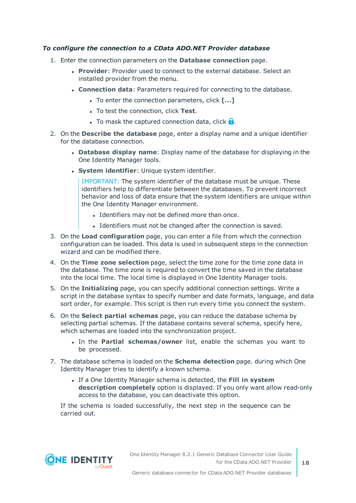#### *To configure the connection to a CData ADO.NET Provider database*

- 1. Enter the connection parameters on the **Database connection** page.
	- **Provider:** Provider used to connect to the external database. Select an installed provider from the menu.
	- <sup>l</sup> **Connection data**: Parameters required for connecting to the database.
		- **.** To enter the connection parameters, click [...]
		- **.** To test the connection, click Test.
		- **.** To mask the captured connection data, click  $\theta$ .
- 2. On the **Describe the database** page, enter a display name and a unique identifier for the database connection.
	- <sup>l</sup> **Database display name**: Display name of the database for displaying in the One Identity Manager tools.
	- **.** System *identifier*: Unique system identifier.

IMPORTANT: The system identifier of the database must be unique. These identifiers help to differentiate between the databases. To prevent incorrect behavior and loss of data ensure that the system identifiers are unique within the One Identity Manager environment.

- Identifiers may not be defined more than once.
- Identifiers must not be changed after the connection is saved.
- 3. On the **Load configuration** page, you can enter a file from which the connection configuration can be loaded. This data is used in subsequent steps in the connection wizard and can be modified there.
- 4. On the **Time zone selection** page, select the time zone for the time zone data in the database. The time zone is required to convert the time saved in the database into the local time. The local time is displayed in One Identity Manager tools.
- 5. On the **Initializing** page, you can specify additional connection settings. Write a script in the database syntax to specify number and date formats, language, and data sort order, for example. This script is then run every time you connect the system.
- 6. On the **Select partial schemas** page, you can reduce the database schema by selecting partial schemas. If the database contains several schema, specify here, which schemas are loaded into the synchronization project.
	- <sup>l</sup> In the **Partial schemas/owner** list, enable the schemas you want to be processed.
- 7. The database schema is loaded on the **Schema detection** page. during which One Identity Manager tries to identify a known schema.
	- <sup>l</sup> If a One Identity Manager schema is detected, the **Fill in system description completely** option is displayed. If you only want allow read-only access to the database, you can deactivate this option.

If the schema is loaded successfully, the next step in the sequence can be carried out.

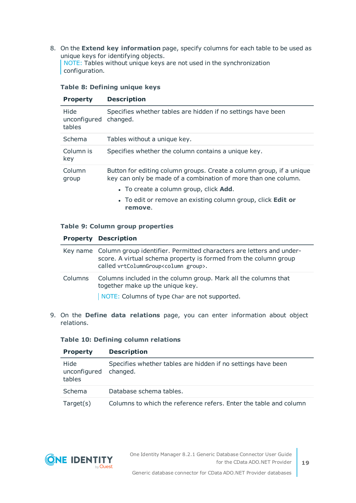8. On the **Extend key information** page, specify columns for each table to be used as unique keys for identifying objects. NOTE: Tables without unique keys are not used in the synchronization configuration.

|  |  | Table 8: Defining unique keys |  |  |
|--|--|-------------------------------|--|--|
|--|--|-------------------------------|--|--|

| <b>Property</b>                | <b>Description</b>                                                                                                                     |
|--------------------------------|----------------------------------------------------------------------------------------------------------------------------------------|
| Hide<br>unconfigured<br>tables | Specifies whether tables are hidden if no settings have been<br>changed.                                                               |
| Schema                         | Tables without a unique key.                                                                                                           |
| Column is<br>key               | Specifies whether the column contains a unique key.                                                                                    |
| Column<br>group                | Button for editing column groups. Create a column group, if a unique<br>key can only be made of a combination of more than one column. |
|                                | • To create a column group, click <b>Add</b> .                                                                                         |
|                                | • To edit or remove an existing column group, click <b>Edit or</b><br>remove.                                                          |

#### **Table 9: Column group properties**

#### **Property Description**

|         | Key name Column group identifier. Permitted characters are letters and under-<br>score. A virtual schema property is formed from the column group<br>called vrtColumnGroup <column group="">.</column> |
|---------|--------------------------------------------------------------------------------------------------------------------------------------------------------------------------------------------------------|
| Columns | Columns included in the column group. Mark all the columns that<br>together make up the unique key.                                                                                                    |
|         | NOTE: Columns of type Char are not supported.                                                                                                                                                          |

9. On the **Define data relations** page, you can enter information about object relations.

#### **Table 10: Defining column relations**

| <b>Property</b>                | <b>Description</b>                                                       |
|--------------------------------|--------------------------------------------------------------------------|
| Hide<br>unconfigured<br>tables | Specifies whether tables are hidden if no settings have been<br>changed. |
| Schema                         | Database schema tables.                                                  |
| Target(s)                      | Columns to which the reference refers. Enter the table and column        |



**19**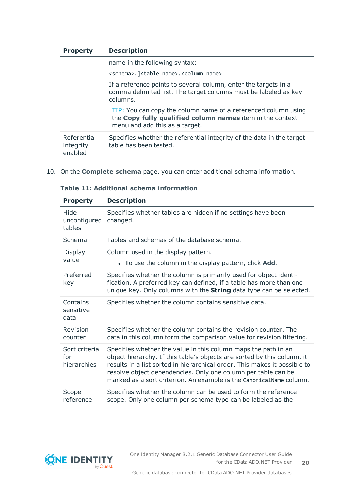| <b>Property</b>                     | <b>Description</b>                                                                                                                                            |
|-------------------------------------|---------------------------------------------------------------------------------------------------------------------------------------------------------------|
|                                     | name in the following syntax:                                                                                                                                 |
|                                     | <schema>.]<table name="">.<column name=""></column></table></schema>                                                                                          |
|                                     | If a reference points to several column, enter the targets in a<br>comma delimited list. The target columns must be labeled as key<br>columns.                |
|                                     | TIP: You can copy the column name of a referenced column using<br>the Copy fully qualified column names item in the context<br>menu and add this as a target. |
| Referential<br>integrity<br>enabled | Specifies whether the referential integrity of the data in the target<br>table has been tested.                                                               |

10. On the **Complete schema** page, you can enter additional schema information.

| <b>Property</b>                     | <b>Description</b>                                                                                                                                                                                                                                                                                                                                             |
|-------------------------------------|----------------------------------------------------------------------------------------------------------------------------------------------------------------------------------------------------------------------------------------------------------------------------------------------------------------------------------------------------------------|
| Hide<br>unconfigured<br>tables      | Specifies whether tables are hidden if no settings have been<br>changed.                                                                                                                                                                                                                                                                                       |
| Schema                              | Tables and schemas of the database schema.                                                                                                                                                                                                                                                                                                                     |
| Display<br>value                    | Column used in the display pattern.<br>• To use the column in the display pattern, click <b>Add</b> .                                                                                                                                                                                                                                                          |
| Preferred<br>key                    | Specifies whether the column is primarily used for object identi-<br>fication. A preferred key can defined, if a table has more than one<br>unique key. Only columns with the <b>String</b> data type can be selected.                                                                                                                                         |
| Contains<br>sensitive<br>data       | Specifies whether the column contains sensitive data.                                                                                                                                                                                                                                                                                                          |
| Revision<br>counter                 | Specifies whether the column contains the revision counter. The<br>data in this column form the comparison value for revision filtering.                                                                                                                                                                                                                       |
| Sort criteria<br>for<br>hierarchies | Specifies whether the value in this column maps the path in an<br>object hierarchy. If this table's objects are sorted by this column, it<br>results in a list sorted in hierarchical order. This makes it possible to<br>resolve object dependencies. Only one column per table can be<br>marked as a sort criterion. An example is the CanonicalName column. |
| Scope<br>reference                  | Specifies whether the column can be used to form the reference<br>scope. Only one column per schema type can be labeled as the                                                                                                                                                                                                                                 |

**Table 11: Additional schema information**



**20**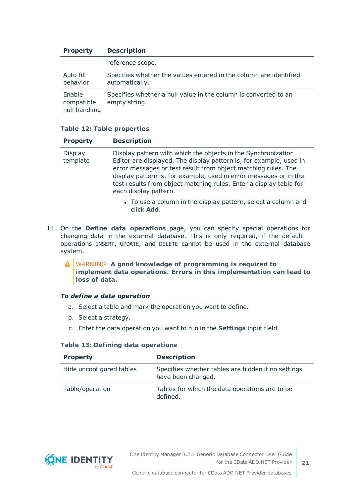| <b>Property</b>                       | <b>Description</b>                                                                  |
|---------------------------------------|-------------------------------------------------------------------------------------|
|                                       | reference scope.                                                                    |
| Auto fill<br>behavior                 | Specifies whether the values entered in the column are identified<br>automatically. |
| Enable<br>compatible<br>null handling | Specifies whether a null value in the column is converted to an<br>empty string.    |

#### **Table 12: Table properties**

| <b>Property</b>            | <b>Description</b>                                                                                                                                                                                                                                                                                                                                                       |
|----------------------------|--------------------------------------------------------------------------------------------------------------------------------------------------------------------------------------------------------------------------------------------------------------------------------------------------------------------------------------------------------------------------|
| <b>Display</b><br>template | Display pattern with which the objects in the Synchronization<br>Editor are displayed. The display pattern is, for example, used in<br>error messages or test result from object matching rules. The<br>display pattern is, for example, used in error messages or in the<br>test results from object matching rules. Enter a display table for<br>each display pattern. |

- To use a column in the display pattern, select a column and click **Add**.
- 11. On the **Define data operations** page, you can specify special operations for changing data in the external database. This is only required, if the default operations INSERT, UPDATE, and DELETE cannot be used in the external database system.

WARNING: **A good knowledge of programming is required to implement data operations. Errors in this implementation can lead to loss of data.**

#### *To define a data operation*

- a. Select a table and mark the operation you want to define.
- b. Select a strategy.
- c. Enter the data operation you want to run in the **Settings** input field.

#### **Table 13: Defining data operations**

| <b>Property</b>          | <b>Description</b>                                                       |
|--------------------------|--------------------------------------------------------------------------|
| Hide unconfigured tables | Specifies whether tables are hidden if no settings<br>have been changed. |
| Table/operation          | Tables for which the data operations are to be<br>defined.               |

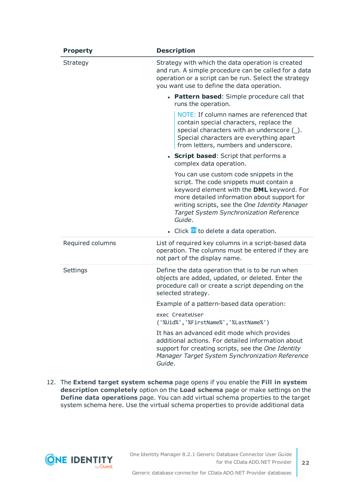| <b>Property</b>  | <b>Description</b>                                                                                                                                                                                                                                                                    |
|------------------|---------------------------------------------------------------------------------------------------------------------------------------------------------------------------------------------------------------------------------------------------------------------------------------|
| Strategy         | Strategy with which the data operation is created<br>and run. A simple procedure can be called for a data<br>operation or a script can be run. Select the strategy<br>you want use to define the data operation.                                                                      |
|                  | • Pattern based: Simple procedure call that<br>runs the operation.                                                                                                                                                                                                                    |
|                  | NOTE: If column names are referenced that<br>contain special characters, replace the<br>special characters with an underscore (_).<br>Special characters are everything apart<br>from letters, numbers and underscore.                                                                |
|                  | • Script based: Script that performs a<br>complex data operation.                                                                                                                                                                                                                     |
|                  | You can use custom code snippets in the<br>script. The code snippets must contain a<br>keyword element with the DML keyword. For<br>more detailed information about support for<br>writing scripts, see the One Identity Manager<br>Target System Synchronization Reference<br>Guide. |
|                  | $\bullet$ Click $\overline{u}$ to delete a data operation.                                                                                                                                                                                                                            |
| Required columns | List of required key columns in a script-based data<br>operation. The columns must be entered if they are<br>not part of the display name.                                                                                                                                            |
| Settings         | Define the data operation that is to be run when<br>objects are added, updated, or deleted. Enter the<br>procedure call or create a script depending on the<br>selected strategy.                                                                                                     |
|                  | Example of a pattern-based data operation:                                                                                                                                                                                                                                            |
|                  | exec CreateUser<br>('%Uid%','%FirstName%','%LastName%')                                                                                                                                                                                                                               |
|                  | It has an advanced edit mode which provides<br>additional actions. For detailed information about<br>support for creating scripts, see the One Identity<br>Manager Target System Synchronization Reference<br>Guide.                                                                  |

12. The **Extend target system schema** page opens if you enable the **Fill in system description completely** option on the **Load schema** page or make settings on the **Define data operations** page. You can add virtual schema properties to the target system schema here. Use the virtual schema properties to provide additional data

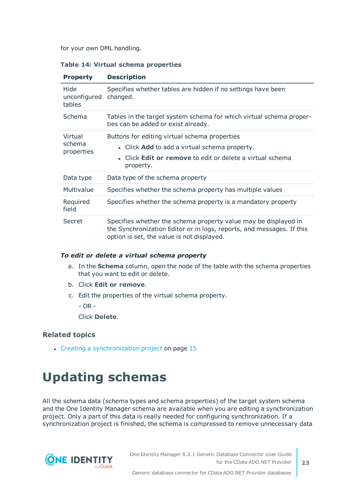for your own DML handling.

#### **Table 14: Virtual schema properties**

| <b>Property</b>                 | <b>Description</b>                                                                                                                                                                     |
|---------------------------------|----------------------------------------------------------------------------------------------------------------------------------------------------------------------------------------|
| Hide<br>unconfigured<br>tables  | Specifies whether tables are hidden if no settings have been<br>changed.                                                                                                               |
| Schema                          | Tables in the target system schema for which virtual schema proper-<br>ties can be added or exist already.                                                                             |
| Virtual<br>schema<br>properties | Buttons for editing virtual schema properties<br>• Click Add to add a virtual schema property.<br>• Click Edit or remove to edit or delete a virtual schema<br>property.               |
| Data type                       | Data type of the schema property                                                                                                                                                       |
| Multivalue                      | Specifies whether the schema property has multiple values                                                                                                                              |
| Required<br>field               | Specifies whether the schema property is a mandatory property                                                                                                                          |
| Secret                          | Specifies whether the schema property value may be displayed in<br>the Synchronization Editor or in logs, reports, and messages. If this<br>option is set, the value is not displayed. |

#### *To edit or delete a virtual schema property*

- a. In the **Schema** column, open the node of the table with the schema properties that you want to edit or delete.
- b. Click **Edit or remove**.
- c. Edit the properties of the virtual schema property.
	- $-$  OR  $-$

Click **Delete**.

#### **Related topics**

• Creating a [synchronization](#page-14-0) project on page 15

## <span id="page-22-0"></span>**Updating schemas**

All the schema data (schema types and schema properties) of the target system schema and the One Identity Manager schema are available when you are editing a synchronization project. Only a part of this data is really needed for configuring synchronization. If a synchronization project is finished, the schema is compressed to remove unnecessary data

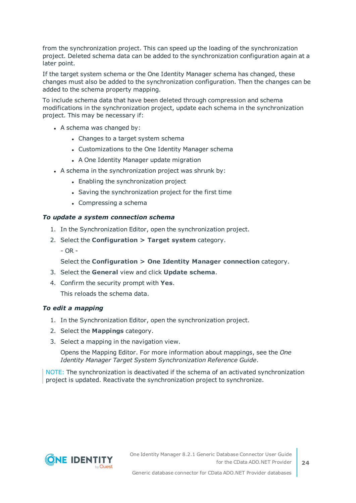from the synchronization project. This can speed up the loading of the synchronization project. Deleted schema data can be added to the synchronization configuration again at a later point.

If the target system schema or the One Identity Manager schema has changed, these changes must also be added to the synchronization configuration. Then the changes can be added to the schema property mapping.

To include schema data that have been deleted through compression and schema modifications in the synchronization project, update each schema in the synchronization project. This may be necessary if:

- $\bullet$  A schema was changed by:
	- Changes to a target system schema
	- Customizations to the One Identity Manager schema
	- A One Identity Manager update migration
- A schema in the synchronization project was shrunk by:
	- Enabling the synchronization project
	- Saving the synchronization project for the first time
	- $\bullet$  Compressing a schema

#### *To update a system connection schema*

- 1. In the Synchronization Editor, open the synchronization project.
- 2. Select the **Configuration > Target system** category.
	- OR -

Select the **Configuration > One Identity Manager connection** category.

- 3. Select the **General** view and click **Update schema**.
- 4. Confirm the security prompt with **Yes**. This reloads the schema data.

#### *To edit a mapping*

- 1. In the Synchronization Editor, open the synchronization project.
- 2. Select the **Mappings** category.
- 3. Select a mapping in the navigation view.

Opens the Mapping Editor. For more information about mappings, see the *One Identity Manager Target System Synchronization Reference Guide*.

NOTE: The synchronization is deactivated if the schema of an activated synchronization project is updated. Reactivate the synchronization project to synchronize.

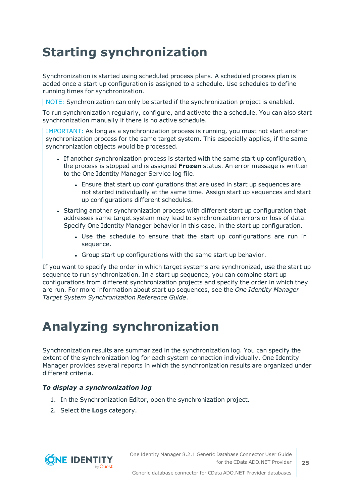## <span id="page-24-0"></span>**Starting synchronization**

Synchronization is started using scheduled process plans. A scheduled process plan is added once a start up configuration is assigned to a schedule. Use schedules to define running times for synchronization.

NOTE: Synchronization can only be started if the synchronization project is enabled.

To run synchronization regularly, configure, and activate the a schedule. You can also start synchronization manually if there is no active schedule.

IMPORTANT: As long as a synchronization process is running, you must not start another synchronization process for the same target system. This especially applies, if the same synchronization objects would be processed.

- If another synchronization process is started with the same start up configuration, the process is stopped and is assigned **Frozen** status. An error message is written to the One Identity Manager Service log file.
	- Ensure that start up configurations that are used in start up sequences are not started individually at the same time. Assign start up sequences and start up configurations different schedules.
- Starting another synchronization process with different start up configuration that addresses same target system may lead to synchronization errors or loss of data. Specify One Identity Manager behavior in this case, in the start up configuration.
	- Use the schedule to ensure that the start up configurations are run in sequence.
	- Group start up configurations with the same start up behavior.

If you want to specify the order in which target systems are synchronized, use the start up sequence to run synchronization. In a start up sequence, you can combine start up configurations from different synchronization projects and specify the order in which they are run. For more information about start up sequences, see the *One Identity Manager Target System Synchronization Reference Guide*.

## <span id="page-24-1"></span>**Analyzing synchronization**

Synchronization results are summarized in the synchronization log. You can specify the extent of the synchronization log for each system connection individually. One Identity Manager provides several reports in which the synchronization results are organized under different criteria.

#### *To display a synchronization log*

- 1. In the Synchronization Editor, open the synchronization project.
- 2. Select the **Logs** category.

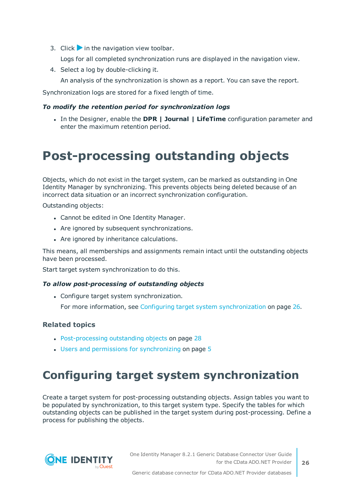3. Click in the navigation view toolbar.

Logs for all completed synchronization runs are displayed in the navigation view.

4. Select a log by double-clicking it.

An analysis of the synchronization is shown as a report. You can save the report.

Synchronization logs are stored for a fixed length of time.

#### *To modify the retention period for synchronization logs*

<sup>l</sup> In the Designer, enable the **DPR | Journal | LifeTime** configuration parameter and enter the maximum retention period.

### <span id="page-25-0"></span>**Post-processing outstanding objects**

Objects, which do not exist in the target system, can be marked as outstanding in One Identity Manager by synchronizing. This prevents objects being deleted because of an incorrect data situation or an incorrect synchronization configuration.

Outstanding objects:

- Cannot be edited in One Identity Manager.
- Are ignored by subsequent synchronizations.
- Are ignored by inheritance calculations.

This means, all memberships and assignments remain intact until the outstanding objects have been processed.

Start target system synchronization to do this.

#### *To allow post-processing of outstanding objects*

• Configure target system synchronization.

For more information, see Configuring target system [synchronization](#page-25-1) on page 26.

#### **Related topics**

- [Post-processing](#page-27-0) outstanding objects on page 28
- $\cdot$  Users and permissions for [synchronizing](#page-4-0) on page 5

### <span id="page-25-1"></span>**Configuring target system synchronization**

Create a target system for post-processing outstanding objects. Assign tables you want to be populated by synchronization, to this target system type. Specify the tables for which outstanding objects can be published in the target system during post-processing. Define a process for publishing the objects.

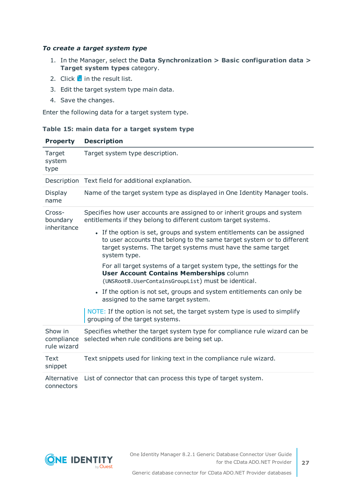#### *To create a target system type*

- 1. In the Manager, select the **Data Synchronization > Basic configuration data > Target system types** category.
- 2. Click  $\frac{1}{1}$  in the result list.
- 3. Edit the target system type main data.
- 4. Save the changes.

Enter the following data for a target system type.

#### **Table 15: main data for a target system type**

| <b>Property</b>                      | <b>Description</b>                                                                                                                                                                                                               |  |  |  |  |
|--------------------------------------|----------------------------------------------------------------------------------------------------------------------------------------------------------------------------------------------------------------------------------|--|--|--|--|
| Target<br>system<br>type             | Target system type description.                                                                                                                                                                                                  |  |  |  |  |
|                                      | Description Text field for additional explanation.                                                                                                                                                                               |  |  |  |  |
| Display<br>name                      | Name of the target system type as displayed in One Identity Manager tools.                                                                                                                                                       |  |  |  |  |
| Cross-<br>boundary<br>inheritance    | Specifies how user accounts are assigned to or inherit groups and system<br>entitlements if they belong to different custom target systems.                                                                                      |  |  |  |  |
|                                      | • If the option is set, groups and system entitlements can be assigned<br>to user accounts that belong to the same target system or to different<br>target systems. The target systems must have the same target<br>system type. |  |  |  |  |
|                                      | For all target systems of a target system type, the settings for the<br><b>User Account Contains Memberships column</b><br>(UNSRootB.UserContainsGroupList) must be identical.                                                   |  |  |  |  |
|                                      | • If the option is not set, groups and system entitlements can only be<br>assigned to the same target system.                                                                                                                    |  |  |  |  |
|                                      | NOTE: If the option is not set, the target system type is used to simplify<br>grouping of the target systems.                                                                                                                    |  |  |  |  |
| Show in<br>compliance<br>rule wizard | Specifies whether the target system type for compliance rule wizard can be<br>selected when rule conditions are being set up.                                                                                                    |  |  |  |  |
| Text<br>snippet                      | Text snippets used for linking text in the compliance rule wizard.                                                                                                                                                               |  |  |  |  |
| Alternative<br>connectors            | List of connector that can process this type of target system.                                                                                                                                                                   |  |  |  |  |

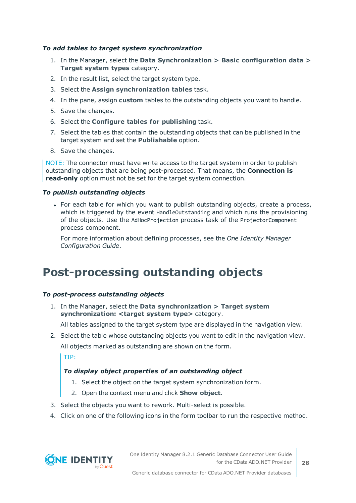#### *To add tables to target system synchronization*

- 1. In the Manager, select the **Data Synchronization > Basic configuration data > Target system types** category.
- 2. In the result list, select the target system type.
- 3. Select the **Assign synchronization tables** task.
- 4. In the pane, assign **custom** tables to the outstanding objects you want to handle.
- 5. Save the changes.
- 6. Select the **Configure tables for publishing** task.
- 7. Select the tables that contain the outstanding objects that can be published in the target system and set the **Publishable** option.
- 8. Save the changes.

NOTE: The connector must have write access to the target system in order to publish outstanding objects that are being post-processed. That means, the **Connection is read-only** option must not be set for the target system connection.

#### *To publish outstanding objects*

• For each table for which you want to publish outstanding objects, create a process, which is triggered by the event HandleOutstanding and which runs the provisioning of the objects. Use the AdHocProjection process task of the ProjectorComponent process component.

For more information about defining processes, see the *One Identity Manager Configuration Guide*.

### <span id="page-27-0"></span>**Post-processing outstanding objects**

#### *To post-process outstanding objects*

1. In the Manager, select the **Data synchronization > Target system synchronization: <target system type>** category.

All tables assigned to the target system type are displayed in the navigation view.

2. Select the table whose outstanding objects you want to edit in the navigation view. All objects marked as outstanding are shown on the form.

TIP:

#### *To display object properties of an outstanding object*

- 1. Select the object on the target system synchronization form.
- 2. Open the context menu and click **Show object**.
- 3. Select the objects you want to rework. Multi-select is possible.
- 4. Click on one of the following icons in the form toolbar to run the respective method.

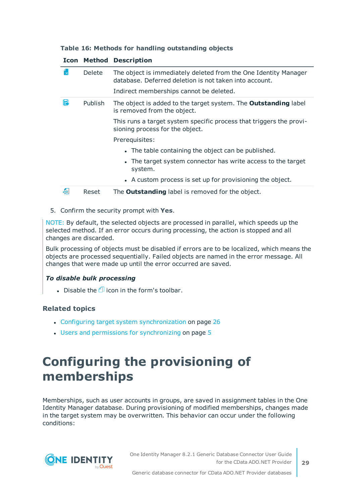|  |  |  |  | Table 16: Methods for handling outstanding objects |  |
|--|--|--|--|----------------------------------------------------|--|
|--|--|--|--|----------------------------------------------------|--|

|     |               | <b>Icon Method Description</b>                                                                                            |
|-----|---------------|---------------------------------------------------------------------------------------------------------------------------|
| ľхl | <b>Delete</b> | The object is immediately deleted from the One Identity Manager<br>database. Deferred deletion is not taken into account. |
|     |               | Indirect memberships cannot be deleted.                                                                                   |
| Б   | Publish       | The object is added to the target system. The <b>Outstanding</b> label<br>is removed from the object.                     |
|     |               | This runs a target system specific process that triggers the provi-<br>sioning process for the object.                    |
|     |               | Prerequisites:                                                                                                            |
|     |               | • The table containing the object can be published.                                                                       |
|     |               | • The target system connector has write access to the target<br>system.                                                   |
|     |               | • A custom process is set up for provisioning the object.                                                                 |
| Æ   | Reset         | The <b>Outstanding</b> label is removed for the object.                                                                   |

5. Confirm the security prompt with **Yes**.

NOTE: By default, the selected objects are processed in parallel, which speeds up the selected method. If an error occurs during processing, the action is stopped and all changes are discarded.

Bulk processing of objects must be disabled if errors are to be localized, which means the objects are processed sequentially. Failed objects are named in the error message. All changes that were made up until the error occurred are saved.

#### *To disable bulk processing*

. Disable the  $\Box$  icon in the form's toolbar.

#### **Related topics**

- Configuring target system [synchronization](#page-25-1) on page 26
- $\cdot$  Users and permissions for [synchronizing](#page-4-0) on page 5

## <span id="page-28-0"></span>**Configuring the provisioning of memberships**

Memberships, such as user accounts in groups, are saved in assignment tables in the One Identity Manager database. During provisioning of modified memberships, changes made in the target system may be overwritten. This behavior can occur under the following conditions:

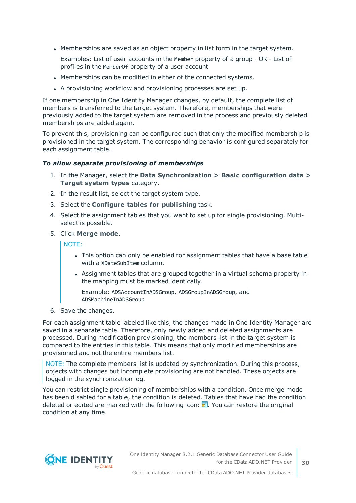• Memberships are saved as an object property in list form in the target system.

Examples: List of user accounts in the Member property of a group - OR - List of profiles in the MemberOf property of a user account

- Memberships can be modified in either of the connected systems.
- A provisioning workflow and provisioning processes are set up.

If one membership in One Identity Manager changes, by default, the complete list of members is transferred to the target system. Therefore, memberships that were previously added to the target system are removed in the process and previously deleted memberships are added again.

To prevent this, provisioning can be configured such that only the modified membership is provisioned in the target system. The corresponding behavior is configured separately for each assignment table.

#### *To allow separate provisioning of memberships*

- 1. In the Manager, select the **Data Synchronization > Basic configuration data > Target system types** category.
- 2. In the result list, select the target system type.
- 3. Select the **Configure tables for publishing** task.
- 4. Select the assignment tables that you want to set up for single provisioning. Multiselect is possible.
- 5. Click **Merge mode**.

NOTE:

- This option can only be enabled for assignment tables that have a base table with a XDateSubItem column.
- Assignment tables that are grouped together in a virtual schema property in the mapping must be marked identically.

Example: ADSAccountInADSGroup, ADSGroupInADSGroup, and ADSMachineInADSGroup

6. Save the changes.

For each assignment table labeled like this, the changes made in One Identity Manager are saved in a separate table. Therefore, only newly added and deleted assignments are processed. During modification provisioning, the members list in the target system is compared to the entries in this table. This means that only modified memberships are provisioned and not the entire members list.

NOTE: The complete members list is updated by synchronization. During this process, objects with changes but incomplete provisioning are not handled. These objects are logged in the synchronization log.

You can restrict single provisioning of memberships with a condition. Once merge mode has been disabled for a table, the condition is deleted. Tables that have had the condition deleted or edited are marked with the following icon:  $\mathbb{E}$ . You can restore the original condition at any time.

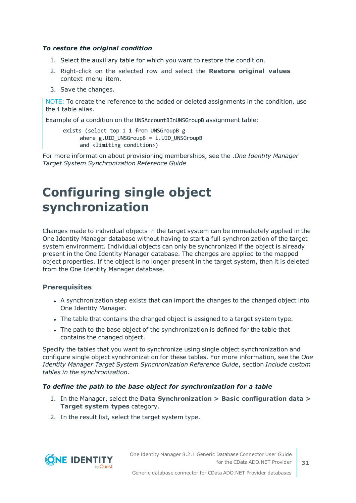#### *To restore the original condition*

- 1. Select the auxiliary table for which you want to restore the condition.
- 2. Right-click on the selected row and select the **Restore original values** context menu item.
- 3. Save the changes.

NOTE: To create the reference to the added or deleted assignments in the condition, use the i table alias.

Example of a condition on the UNSAccountBInUNSGroupB assignment table:

```
exists (select top 1 1 from UNSGroupB g
where g.UID UNSGroupB = i.UID UNSGroupB
and <limiting condition>)
```
For more information about provisioning memberships, see the .*One Identity Manager Target System Synchronization Reference Guide*

### <span id="page-30-0"></span>**Configuring single object synchronization**

Changes made to individual objects in the target system can be immediately applied in the One Identity Manager database without having to start a full synchronization of the target system environment. Individual objects can only be synchronized if the object is already present in the One Identity Manager database. The changes are applied to the mapped object properties. If the object is no longer present in the target system, then it is deleted from the One Identity Manager database.

#### **Prerequisites**

- A synchronization step exists that can import the changes to the changed object into One Identity Manager.
- The table that contains the changed object is assigned to a target system type.
- The path to the base object of the synchronization is defined for the table that contains the changed object.

Specify the tables that you want to synchronize using single object synchronization and configure single object synchronization for these tables. For more information, see the *One Identity Manager Target System Synchronization Reference Guide*, section *Include custom tables in the synchronization*.

#### *To define the path to the base object for synchronization for a table*

- 1. In the Manager, select the **Data Synchronization > Basic configuration data > Target system types** category.
- 2. In the result list, select the target system type.



One Identity Manager 8.2.1 Generic Database Connector User Guide for the CData ADO.NET Provider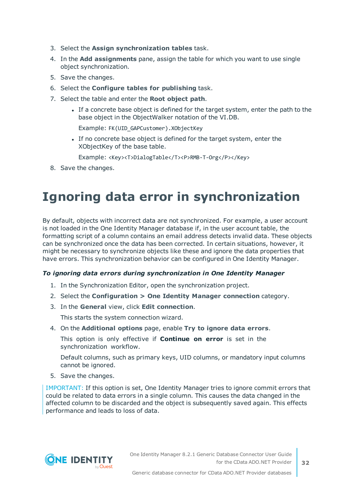- 3. Select the **Assign synchronization tables** task.
- 4. In the **Add assignments** pane, assign the table for which you want to use single object synchronization.
- 5. Save the changes.
- 6. Select the **Configure tables for publishing** task.
- 7. Select the table and enter the **Root object path**.
	- If a concrete base object is defined for the target system, enter the path to the base object in the ObjectWalker notation of the VI.DB.

Example: FK(UID\_GAPCustomer).XObjectKey

If no concrete base object is defined for the target system, enter the XObjectKey of the base table.

Example: <Key><T>DialogTable</T><P>RMB-T-Org</P></Key>

<span id="page-31-0"></span>8. Save the changes.

## **Ignoring data error in synchronization**

By default, objects with incorrect data are not synchronized. For example, a user account is not loaded in the One Identity Manager database if, in the user account table, the formatting script of a column contains an email address detects invalid data. These objects can be synchronized once the data has been corrected. In certain situations, however, it might be necessary to synchronize objects like these and ignore the data properties that have errors. This synchronization behavior can be configured in One Identity Manager.

#### *To ignoring data errors during synchronization in One Identity Manager*

- 1. In the Synchronization Editor, open the synchronization project.
- 2. Select the **Configuration > One Identity Manager connection** category.
- 3. In the **General** view, click **Edit connection**.

This starts the system connection wizard.

4. On the **Additional options** page, enable **Try to ignore data errors**.

This option is only effective if **Continue on error** is set in the synchronization workflow.

Default columns, such as primary keys, UID columns, or mandatory input columns cannot be ignored.

5. Save the changes.

IMPORTANT: If this option is set, One Identity Manager tries to ignore commit errors that could be related to data errors in a single column. This causes the data changed in the affected column to be discarded and the object is subsequently saved again. This effects performance and leads to loss of data.

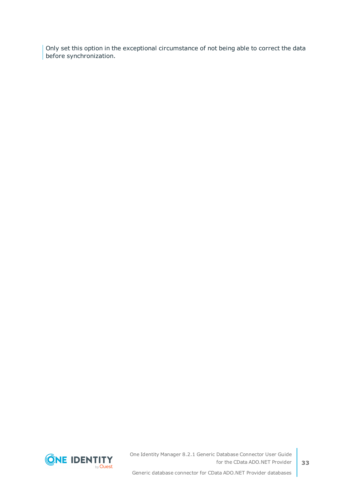Only set this option in the exceptional circumstance of not being able to correct the data before synchronization.



One Identity Manager 8.2.1 Generic Database Connector User Guide for the CData ADO.NET Provider

Generic database connector for CData ADO.NET Provider databases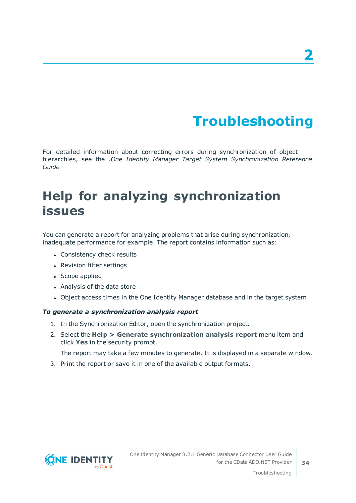# **Troubleshooting**

<span id="page-33-0"></span>For detailed information about correcting errors during synchronization of object hierarchies, see the .*One Identity Manager Target System Synchronization Reference Guide*

## <span id="page-33-1"></span>**Help for analyzing synchronization issues**

You can generate a report for analyzing problems that arise during synchronization, inadequate performance for example. The report contains information such as:

- Consistency check results
- Revision filter settings
- Scope applied
- Analysis of the data store
- Object access times in the One Identity Manager database and in the target system

#### *To generate a synchronization analysis report*

- 1. In the Synchronization Editor, open the synchronization project.
- 2. Select the **Help > Generate synchronization analysis report** menu item and click **Yes** in the security prompt.

The report may take a few minutes to generate. It is displayed in a separate window.

3. Print the report or save it in one of the available output formats.

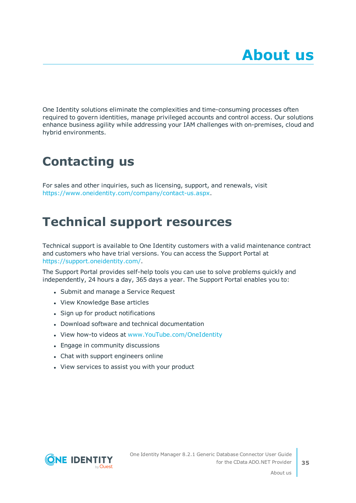<span id="page-34-0"></span>One Identity solutions eliminate the complexities and time-consuming processes often required to govern identities, manage privileged accounts and control access. Our solutions enhance business agility while addressing your IAM challenges with on-premises, cloud and hybrid environments.

## <span id="page-34-1"></span>**Contacting us**

For sales and other inquiries, such as licensing, support, and renewals, visit <https://www.oneidentity.com/company/contact-us.aspx>.

## <span id="page-34-2"></span>**Technical support resources**

Technical support is available to One Identity customers with a valid maintenance contract and customers who have trial versions. You can access the Support Portal at [https://support.oneidentity.com/.](https://support.oneidentity.com/)

The Support Portal provides self-help tools you can use to solve problems quickly and independently, 24 hours a day, 365 days a year. The Support Portal enables you to:

- Submit and manage a Service Request
- View Knowledge Base articles
- Sign up for product notifications
- Download software and technical documentation
- View how-to videos at [www.YouTube.com/OneIdentity](http://www.youtube.com/OneIdentity)
- Engage in community discussions
- Chat with support engineers online
- View services to assist you with your product



**35**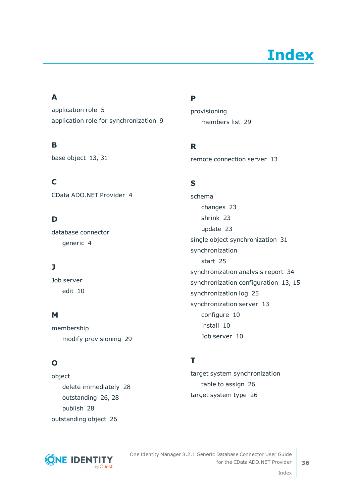# **Index**

### <span id="page-35-0"></span>**A**

application role [5](#page-4-0) application role for synchronization [9](#page-8-0)

### **B**

base object [13](#page-12-0), [31](#page-30-0)

**C** CData ADO.NET Provider [4](#page-3-0)

### **D**

database connector generic [4](#page-3-0)

### **J**

Job server edit [10](#page-9-0)

### **M**

membership modify provisioning [29](#page-28-0)

### **O**

object delete immediately [28](#page-27-0) outstanding [26](#page-25-0), [28](#page-27-0) publish [28](#page-27-0) outstanding object [26](#page-25-0)

### **P**

provisioning members list [29](#page-28-0)

**R**

remote connection server [13](#page-12-0)

### **S**

schema changes [23](#page-22-0) shrink [23](#page-22-0) update [23](#page-22-0) single object synchronization [31](#page-30-0) synchronization start [25](#page-24-0) synchronization analysis report [34](#page-33-1) synchronization configuration [13](#page-12-0), [15](#page-14-0) synchronization log [25](#page-24-1) synchronization server [13](#page-12-0) configure [10](#page-9-0) install [10](#page-9-0) Job server [10](#page-9-0)

### **T**

target system synchronization table to assign [26](#page-25-1) target system type [26](#page-25-1)



One Identity Manager 8.2.1 Generic Database Connector User Guide for the CData ADO.NET Provider

Index